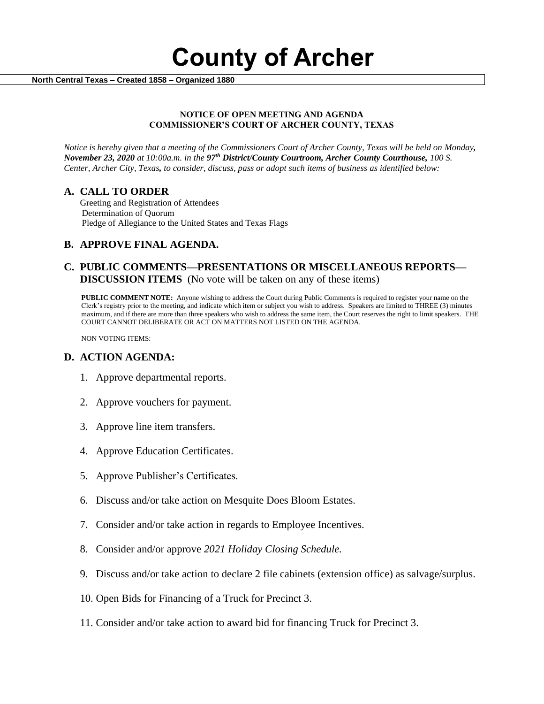**County of Archer** 

 **North Central Texas – Created 1858 – Organized 1880**

#### **NOTICE OF OPEN MEETING AND AGENDA COMMISSIONER'S COURT OF ARCHER COUNTY, TEXAS**

*Notice is hereby given that a meeting of the Commissioners Court of Archer County, Texas will be held on Monday, November 23, 2020 at 10:00a.m. in the 97th District/County Courtroom, Archer County Courthouse, 100 S. Center, Archer City, Texas, to consider, discuss, pass or adopt such items of business as identified below:*

### **A. CALL TO ORDER**

 Greeting and Registration of Attendees Determination of Quorum Pledge of Allegiance to the United States and Texas Flags

### **B. APPROVE FINAL AGENDA.**

### **C. PUBLIC COMMENTS—PRESENTATIONS OR MISCELLANEOUS REPORTS— DISCUSSION ITEMS** (No vote will be taken on any of these items)

**PUBLIC COMMENT NOTE:** Anyone wishing to address the Court during Public Comments is required to register your name on the Clerk's registry prior to the meeting, and indicate which item or subject you wish to address. Speakers are limited to THREE (3) minutes maximum, and if there are more than three speakers who wish to address the same item, the Court reserves the right to limit speakers. THE COURT CANNOT DELIBERATE OR ACT ON MATTERS NOT LISTED ON THE AGENDA.

NON VOTING ITEMS:

### **D. ACTION AGENDA:**

- 1. Approve departmental reports.
- 2. Approve vouchers for payment.
- 3. Approve line item transfers.
- 4. Approve Education Certificates.
- 5. Approve Publisher's Certificates.
- 6. Discuss and/or take action on Mesquite Does Bloom Estates.
- 7. Consider and/or take action in regards to Employee Incentives.
- 8. Consider and/or approve *2021 Holiday Closing Schedule.*
- 9. Discuss and/or take action to declare 2 file cabinets (extension office) as salvage/surplus.
- 10. Open Bids for Financing of a Truck for Precinct 3.
- 11. Consider and/or take action to award bid for financing Truck for Precinct 3.